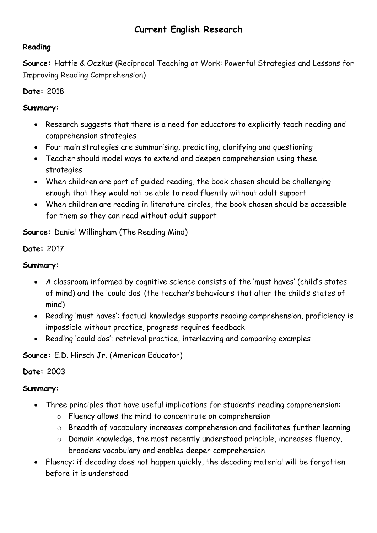# **Current English Research**

#### **Reading**

**Source:** Hattie & Oczkus (Reciprocal Teaching at Work: Powerful Strategies and Lessons for Improving Reading Comprehension)

#### **Date:** 2018

#### **Summary:**

- Research suggests that there is a need for educators to explicitly teach reading and comprehension strategies
- Four main strategies are summarising, predicting, clarifying and questioning
- Teacher should model ways to extend and deepen comprehension using these strategies
- When children are part of guided reading, the book chosen should be challenging enough that they would not be able to read fluently without adult support
- When children are reading in literature circles, the book chosen should be accessible for them so they can read without adult support

**Source:** Daniel Willingham (The Reading Mind)

**Date:** 2017

### **Summary:**

- A classroom informed by cognitive science consists of the 'must haves' (child's states of mind) and the 'could dos' (the teacher's behaviours that alter the child's states of mind)
- Reading 'must haves': factual knowledge supports reading comprehension, proficiency is impossible without practice, progress requires feedback
- Reading 'could dos': retrieval practice, interleaving and comparing examples

**Source:** E.D. Hirsch Jr. (American Educator)

#### **Date:** 2003

- Three principles that have useful implications for students' reading comprehension:
	- o Fluency allows the mind to concentrate on comprehension
	- o Breadth of vocabulary increases comprehension and facilitates further learning
	- o Domain knowledge, the most recently understood principle, increases fluency, broadens vocabulary and enables deeper comprehension
- Fluency: if decoding does not happen quickly, the decoding material will be forgotten before it is understood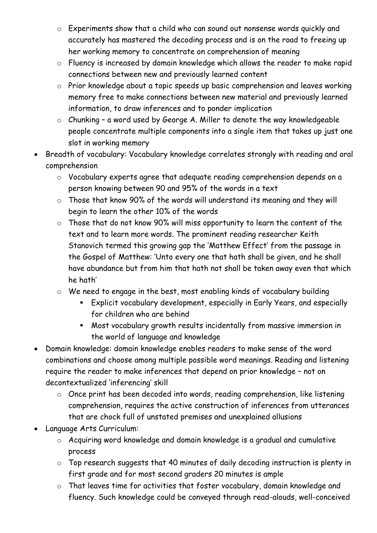- o Experiments show that a child who can sound out nonsense words quickly and accurately has mastered the decoding process and is on the road to freeing up her working memory to concentrate on comprehension of meaning
- o Fluency is increased by domain knowledge which allows the reader to make rapid connections between new and previously learned content
- o Prior knowledge about a topic speeds up basic comprehension and leaves working memory free to make connections between new material and previously learned information, to draw inferences and to ponder implication
- o Chunking a word used by George A. Miller to denote the way knowledgeable people concentrate multiple components into a single item that takes up just one slot in working memory
- Breadth of vocabulary: Vocabulary knowledge correlates strongly with reading and oral comprehension
	- o Vocabulary experts agree that adequate reading comprehension depends on a person knowing between 90 and 95% of the words in a text
	- o Those that know 90% of the words will understand its meaning and they will begin to learn the other 10% of the words
	- o Those that do not know 90% will miss opportunity to learn the content of the text and to learn more words. The prominent reading researcher Keith Stanovich termed this growing gap the 'Matthew Effect' from the passage in the Gospel of Matthew: 'Unto every one that hath shall be given, and he shall have abundance but from him that hath not shall be taken away even that which he hath'
	- o We need to engage in the best, most enabling kinds of vocabulary building
		- Explicit vocabulary development, especially in Early Years, and especially for children who are behind
		- Most vocabulary growth results incidentally from massive immersion in the world of language and knowledge
- Domain knowledge: domain knowledge enables readers to make sense of the word combinations and choose among multiple possible word meanings. Reading and listening require the reader to make inferences that depend on prior knowledge – not on decontextualized 'inferencing' skill
	- o Once print has been decoded into words, reading comprehension, like listening comprehension, requires the active construction of inferences from utterances that are chock full of unstated premises and unexplained allusions
- Language Arts Curriculum:
	- o Acquiring word knowledge and domain knowledge is a gradual and cumulative process
	- o Top research suggests that 40 minutes of daily decoding instruction is plenty in first grade and for most second graders 20 minutes is ample
	- o That leaves time for activities that foster vocabulary, domain knowledge and fluency. Such knowledge could be conveyed through read-alouds, well-conceived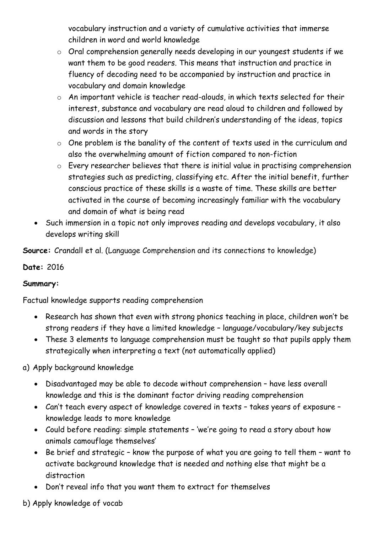vocabulary instruction and a variety of cumulative activities that immerse children in word and world knowledge

- o Oral comprehension generally needs developing in our youngest students if we want them to be good readers. This means that instruction and practice in fluency of decoding need to be accompanied by instruction and practice in vocabulary and domain knowledge
- o An important vehicle is teacher read-alouds, in which texts selected for their interest, substance and vocabulary are read aloud to children and followed by discussion and lessons that build children's understanding of the ideas, topics and words in the story
- o One problem is the banality of the content of texts used in the curriculum and also the overwhelming amount of fiction compared to non-fiction
- o Every researcher believes that there is initial value in practising comprehension strategies such as predicting, classifying etc. After the initial benefit, further conscious practice of these skills is a waste of time. These skills are better activated in the course of becoming increasingly familiar with the vocabulary and domain of what is being read
- Such immersion in a topic not only improves reading and develops vocabulary, it also develops writing skill

**Source:** Crandall et al. (Language Comprehension and its connections to knowledge)

### **Date:** 2016

#### **Summary:**

Factual knowledge supports reading comprehension

- Research has shown that even with strong phonics teaching in place, children won't be strong readers if they have a limited knowledge – language/vocabulary/key subjects
- These 3 elements to language comprehension must be taught so that pupils apply them strategically when interpreting a text (not automatically applied)

### a) Apply background knowledge

- Disadvantaged may be able to decode without comprehension have less overall knowledge and this is the dominant factor driving reading comprehension
- Can't teach every aspect of knowledge covered in texts takes years of exposure knowledge leads to more knowledge
- Could before reading: simple statements 'we're going to read a story about how animals camouflage themselves'
- Be brief and strategic know the purpose of what you are going to tell them want to activate background knowledge that is needed and nothing else that might be a distraction
- Don't reveal info that you want them to extract for themselves

b) Apply knowledge of vocab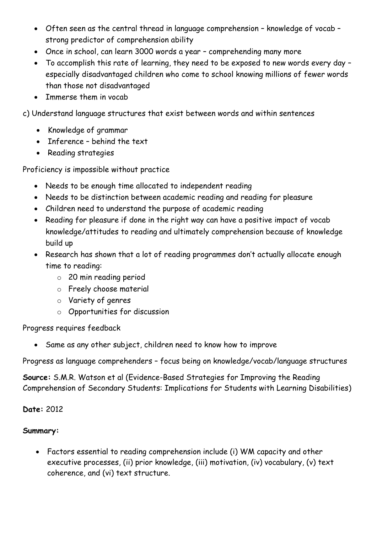- Often seen as the central thread in language comprehension knowledge of vocab strong predictor of comprehension ability
- Once in school, can learn 3000 words a year comprehending many more
- To accomplish this rate of learning, they need to be exposed to new words every day especially disadvantaged children who come to school knowing millions of fewer words than those not disadvantaged
- Immerse them in vocab
- c) Understand language structures that exist between words and within sentences
	- Knowledge of grammar
	- Inference behind the text
	- Reading strategies

Proficiency is impossible without practice

- Needs to be enough time allocated to independent reading
- Needs to be distinction between academic reading and reading for pleasure
- Children need to understand the purpose of academic reading
- Reading for pleasure if done in the right way can have a positive impact of vocab knowledge/attitudes to reading and ultimately comprehension because of knowledge build up
- Research has shown that a lot of reading programmes don't actually allocate enough time to reading:
	- o 20 min reading period
	- o Freely choose material
	- o Variety of genres
	- o Opportunities for discussion

Progress requires feedback

• Same as any other subject, children need to know how to improve

Progress as language comprehenders – focus being on knowledge/vocab/language structures

**Source:** S.M.R. Watson et al (Evidence-Based Strategies for Improving the Reading Comprehension of Secondary Students: Implications for Students with Learning Disabilities)

#### **Date:** 2012

#### **Summary:**

• Factors essential to reading comprehension include (i) WM capacity and other executive processes, (ii) prior knowledge, (iii) motivation, (iv) vocabulary, (v) text coherence, and (vi) text structure.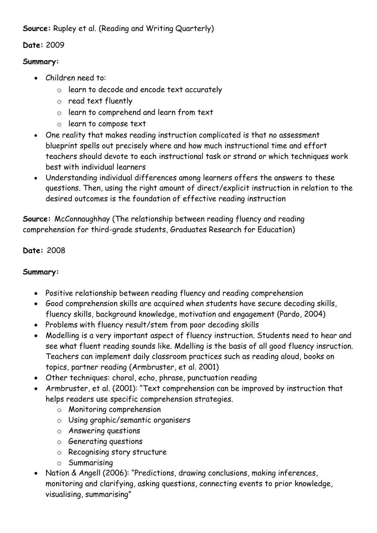**Source:** Rupley et al. (Reading and Writing Quarterly)

### **Date:** 2009

#### **Summary:**

- Children need to:
	- o learn to decode and encode text accurately
	- o read text fluently
	- o learn to comprehend and learn from text
	- o learn to compose text
- One reality that makes reading instruction complicated is that no assessment blueprint spells out precisely where and how much instructional time and effort teachers should devote to each instructional task or strand or which techniques work best with individual learners
- Understanding individual differences among learners offers the answers to these questions. Then, using the right amount of direct/explicit instruction in relation to the desired outcomes is the foundation of effective reading instruction

**Source:** McConnaughhay (The relationship between reading fluency and reading comprehension for third-grade students, Graduates Research for Education)

### **Date:** 2008

- Positive relationship between reading fluency and reading comprehension
- Good comprehension skills are acquired when students have secure decoding skills, fluency skills, background knowledge, motivation and engagement (Pardo, 2004)
- Problems with fluency result/stem from poor decoding skills
- Modelling is a very important aspect of fluency instruction. Students need to hear and see what fluent reading sounds like. Mdelling is the basis of all good fluency insruction. Teachers can implement daily classroom practices such as reading aloud, books on topics, partner reading (Armbruster, et al. 2001)
- Other techniques: choral, echo, phrase, punctuation reading
- Armbruster, et al. (2001): "Text comprehension can be improved by instruction that helps readers use specific comprehension strategies.
	- o Monitoring comprehension
	- o Using graphic/semantic organisers
	- o Answering questions
	- o Generating questions
	- o Recognising story structure
	- o Summarising
- Nation & Angell (2006): "Predictions, drawing conclusions, making inferences, monitoring and clarifying, asking questions, connecting events to prior knowledge, visualising, summarising"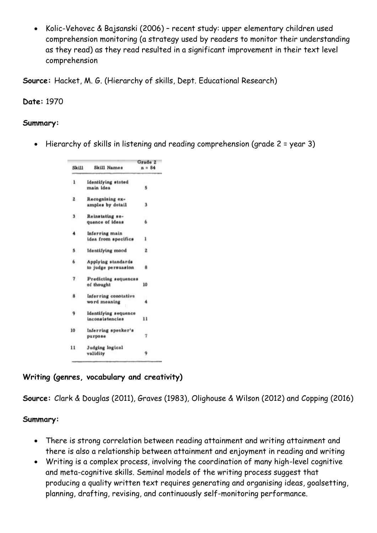• Kolic-Vehovec & Bajsanski (2006) – recent study: upper elementary children used comprehension monitoring (a strategy used by readers to monitor their understanding as they read) as they read resulted in a significant improvement in their text level comprehension

**Source:** Hacket, M. G. (Hierarchy of skills, Dept. Educational Research)

**Date:** 1970

#### **Summary:**

• Hierarchy of skills in listening and reading comprehension (grade 2 = year 3)

| Skill                | Skill Names             | Grade 2  |  |
|----------------------|-------------------------|----------|--|
|                      |                         | $n = 84$ |  |
| $\mathbf{1}$         | Identifying stated      |          |  |
|                      | main idea               | 5        |  |
| $\mathbf{z}$         | Recognizing ex-         |          |  |
|                      | amples by detail        | з        |  |
| з.                   | Reinstating se-         |          |  |
|                      | quence of ideas         | 6        |  |
| $\ddot{\phantom{0}}$ | Inferring main          |          |  |
|                      | idea from specifics     | ı        |  |
| 5.                   | <b>Identifying mood</b> | 2        |  |
| 6.                   | Applying standards      |          |  |
|                      | to judge persuasion     | 8        |  |
| $\overline{7}$       | Predicting sequences    |          |  |
|                      | of thought              | 10       |  |
| 8                    | Inferring conotative    |          |  |
|                      | word meaning            | 4        |  |
| 9                    | Identifying sequence    |          |  |
|                      | inconsistencies         | 11       |  |
| 10                   | Inferring speaker's     |          |  |
|                      | purpose                 | 7        |  |
| 11                   | Judging logical         |          |  |
|                      | validity                | 9        |  |

#### **Writing (genres, vocabulary and creativity)**

**Source:** Clark & Douglas (2011), Graves (1983), Olighouse & Wilson (2012) and Copping (2016)

- There is strong correlation between reading attainment and writing attainment and there is also a relationship between attainment and enjoyment in reading and writing
- Writing is a complex process, involving the coordination of many high-level cognitive and meta-cognitive skills. Seminal models of the writing process suggest that producing a quality written text requires generating and organising ideas, goalsetting, planning, drafting, revising, and continuously self-monitoring performance.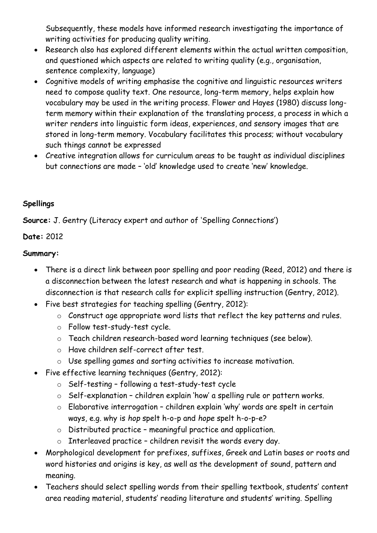Subsequently, these models have informed research investigating the importance of writing activities for producing quality writing.

- Research also has explored different elements within the actual written composition, and questioned which aspects are related to writing quality (e.g., organisation, sentence complexity, language)
- Cognitive models of writing emphasise the cognitive and linguistic resources writers need to compose quality text. One resource, long-term memory, helps explain how vocabulary may be used in the writing process. Flower and Hayes (1980) discuss longterm memory within their explanation of the translating process, a process in which a writer renders into linguistic form ideas, experiences, and sensory images that are stored in long-term memory. Vocabulary facilitates this process; without vocabulary such things cannot be expressed
- Creative integration allows for curriculum areas to be taught as individual disciplines but connections are made – 'old' knowledge used to create 'new' knowledge.

### **Spellings**

**Source:** J. Gentry (Literacy expert and author of 'Spelling Connections')

## **Date:** 2012

- There is a direct link between poor spelling and poor reading (Reed, 2012) and there is a disconnection between the latest research and what is happening in schools. The disconnection is that research calls for explicit spelling instruction (Gentry, 2012).
- Five best strategies for teaching spelling (Gentry, 2012):
	- o Construct age appropriate word lists that reflect the key patterns and rules.
	- o Follow test-study-test cycle.
	- o Teach children research-based word learning techniques (see below).
	- o Have children self-correct after test.
	- o Use spelling games and sorting activities to increase motivation.
- Five effective learning techniques (Gentry, 2012):
	- o Self-testing following a test-study-test cycle
	- o Self-explanation children explain 'how' a spelling rule or pattern works.
	- o Elaborative interrogation children explain 'why' words are spelt in certain ways, e.g. why is *hop* spelt h-o-p and *hope* spelt h-o-p-e?
	- o Distributed practice meaningful practice and application.
	- $\circ$  Interleaved practice children revisit the words every day.
- Morphological development for prefixes, suffixes, Greek and Latin bases or roots and word histories and origins is key, as well as the development of sound, pattern and meaning.
- Teachers should select spelling words from their spelling textbook, students' content area reading material, students' reading literature and students' writing. Spelling